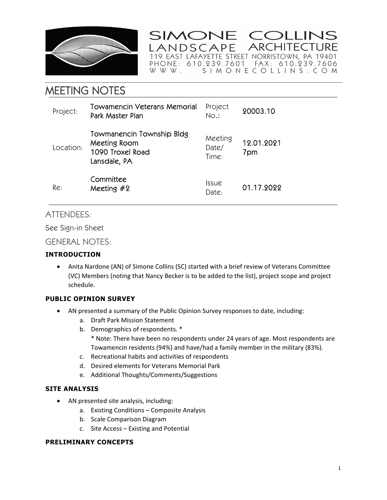

SIMONE COLLINS **ARCHITECTURE** ANDSCAPE 

# MEETING NOTES

| Project:  | Towamencin Veterans Memorial<br>Park Master Plan                              | Project<br>$No.$ :           | 20003.10          |
|-----------|-------------------------------------------------------------------------------|------------------------------|-------------------|
| Location: | Towmanencin Township Bldg<br>Meeting Room<br>1090 Troxel Road<br>Lansdale, PA | Meeting<br>Date/<br>Time:    | 12.01.2021<br>7pm |
| Re:       | Committee<br>Meeting $#2$                                                     | <i><b>Issue</b></i><br>Date: | 01.17.2022        |

## ATTENDEES:

See Sign-in Sheet

### GENERAL NOTES:

#### **INTRODUCTION**

 Anita Nardone (AN) of Simone Collins (SC) started with a brief review of Veterans Committee (VC) Members (noting that Nancy Becker is to be added to the list), project scope and project schedule.

#### **PUBLIC OPINION SURVEY**

- AN presented a summary of the Public Opinion Survey responses to date, including:
	- a. Draft Park Mission Statement
	- b. Demographics of respondents. \*
		- \* Note: There have been no respondents under 24 years of age. Most respondents are Towamencin residents (94%) and have/had a family member in the military (83%).
	- c. Recreational habits and activities of respondents
	- d. Desired elements for Veterans Memorial Park
	- e. Additional Thoughts/Comments/Suggestions

#### **SITE ANALYSIS**

- AN presented site analysis, including:
	- a. Existing Conditions Composite Analysis
	- b. Scale Comparison Diagram
	- c. Site Access Existing and Potential

#### **PRELIMINARY CONCEPTS**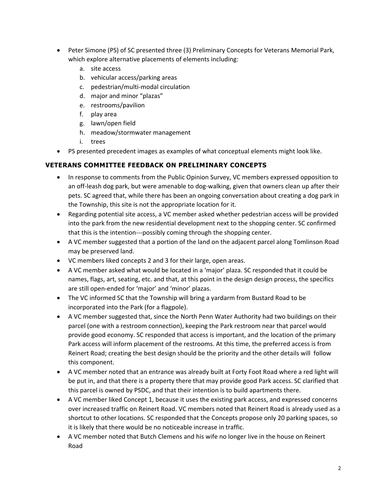- Peter Simone (PS) of SC presented three (3) Preliminary Concepts for Veterans Memorial Park, which explore alternative placements of elements including:
	- a. site access
	- b. vehicular access/parking areas
	- c. pedestrian/multi‐modal circulation
	- d. major and minor "plazas"
	- e. restrooms/pavilion
	- f. play area
	- g. lawn/open field
	- h. meadow/stormwater management
	- i. trees
- PS presented precedent images as examples of what conceptual elements might look like.

#### **VETERANS COMMITTEE FEEDBACK ON PRELIMINARY CONCEPTS**

- In response to comments from the Public Opinion Survey, VC members expressed opposition to an off-leash dog park, but were amenable to dog-walking, given that owners clean up after their pets. SC agreed that, while there has been an ongoing conversation about creating a dog park in the Township, this site is not the appropriate location for it.
- Regarding potential site access, a VC member asked whether pedestrian access will be provided into the park from the new residential development next to the shopping center. SC confirmed that this is the intention‐‐‐possibly coming through the shopping center.
- A VC member suggested that a portion of the land on the adjacent parcel along Tomlinson Road may be preserved land.
- VC members liked concepts 2 and 3 for their large, open areas.
- A VC member asked what would be located in a 'major' plaza. SC responded that it could be names, flags, art, seating, etc. and that, at this point in the design design process, the specifics are still open‐ended for 'major' and 'minor' plazas.
- The VC informed SC that the Township will bring a yardarm from Bustard Road to be incorporated into the Park (for a flagpole).
- A VC member suggested that, since the North Penn Water Authority had two buildings on their parcel (one with a restroom connection), keeping the Park restroom near that parcel would provide good economy. SC responded that access is important, and the location of the primary Park access will inform placement of the restrooms. At this time, the preferred access is from Reinert Road; creating the best design should be the priority and the other details will follow this component.
- A VC member noted that an entrance was already built at Forty Foot Road where a red light will be put in, and that there is a property there that may provide good Park access. SC clarified that this parcel is owned by PSDC, and that their intention is to build apartments there.
- A VC member liked Concept 1, because it uses the existing park access, and expressed concerns over increased traffic on Reinert Road. VC members noted that Reinert Road is already used as a shortcut to other locations. SC responded that the Concepts propose only 20 parking spaces, so it is likely that there would be no noticeable increase in traffic.
- A VC member noted that Butch Clemens and his wife no longer live in the house on Reinert Road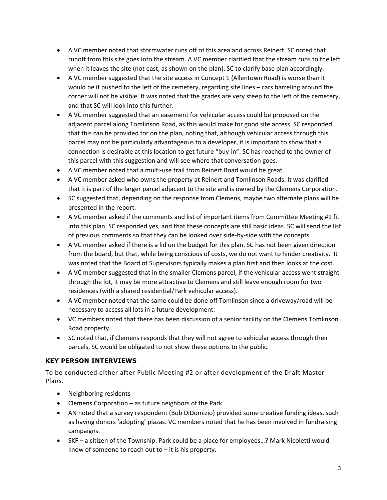- A VC member noted that stormwater runs off of this area and across Reinert. SC noted that runoff from this site goes into the stream. A VC member clarified that the stream runs to the left when it leaves the site (not east, as shown on the plan). SC to clarify base plan accordingly.
- A VC member suggested that the site access in Concept 1 (Allentown Road) is worse than it would be if pushed to the left of the cemetery, regarding site lines – cars barreling around the corner will not be visible. It was noted that the grades are very steep to the left of the cemetery, and that SC will look into this further.
- A VC member suggested that an easement for vehicular access could be proposed on the adjacent parcel along Tomlinson Road, as this would make for good site access. SC responded that this can be provided for on the plan, noting that, although vehicular access through this parcel may not be particularly advantageous to a developer, it is important to show that a connection is desirable at this location to get future "buy-in". SC has reached to the owner of this parcel with this suggestion and will see where that conversation goes.
- A VC member noted that a multi-use trail from Reinert Road would be great.
- A VC member asked who owns the property at Reinert and Tomlinson Roads. It was clarified that it is part of the larger parcel adjacent to the site and is owned by the Clemens Corporation.
- SC suggested that, depending on the response from Clemens, maybe two alternate plans will be presented in the report.
- A VC member asked if the comments and list of important items from Committee Meeting #1 fit into this plan. SC responded yes, and that these concepts are still basic ideas. SC will send the list of previous comments so that they can be looked over side‐by‐side with the concepts.
- A VC member asked if there is a lid on the budget for this plan. SC has not been given direction from the board, but that, while being conscious of costs, we do not want to hinder creativity. It was noted that the Board of Supervisors typically makes a plan first and then looks at the cost.
- A VC member suggested that in the smaller Clemens parcel, if the vehicular access went straight through the lot, it may be more attractive to Clemens and still leave enough room for two residences (with a shared residential/Park vehicular access).
- A VC member noted that the same could be done off Tomlinson since a driveway/road will be necessary to access all lots in a future development.
- VC members noted that there has been discussion of a senior facility on the Clemens Tomlinson Road property.
- SC noted that, if Clemens responds that they will not agree to vehicular access through their parcels, SC would be obligated to not show these options to the public.

#### **KEY PERSON INTERVIEWS**

To be conducted either after Public Meeting #2 or after development of the Draft Master Plans.

- Neighboring residents
- Clemens Corporation as future neighbors of the Park
- AN noted that a survey respondent (Bob DiDomizio) provided some creative funding ideas, such as having donors 'adopting' plazas. VC members noted that he has been involved in fundraising campaigns.
- SKF a citizen of the Township. Park could be a place for employees…? Mark Nicoletti would know of someone to reach out to  $-$  it is his property.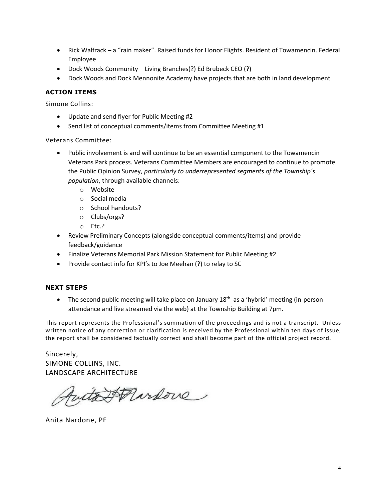- Rick Walfrack a "rain maker". Raised funds for Honor Flights. Resident of Towamencin. Federal Employee
- Dock Woods Community Living Branches(?) Ed Brubeck CEO (?)
- Dock Woods and Dock Mennonite Academy have projects that are both in land development

#### **ACTION ITEMS**

Simone Collins:

- Update and send flyer for Public Meeting #2
- Send list of conceptual comments/items from Committee Meeting #1

Veterans Committee:

- Public involvement is and will continue to be an essential component to the Towamencin Veterans Park process. Veterans Committee Members are encouraged to continue to promote the Public Opinion Survey, *particularly to underrepresented segments of the Township's population*, through available channels:
	- o Website
	- o Social media
	- o School handouts?
	- o Clubs/orgs?
	- o Etc.?
- Review Preliminary Concepts (alongside conceptual comments/items) and provide feedback/guidance
- Finalize Veterans Memorial Park Mission Statement for Public Meeting #2
- Provide contact info for KPI's to Joe Meehan (?) to relay to SC

#### **NEXT STEPS**

• The second public meeting will take place on January 18<sup>th</sup> as a 'hybrid' meeting (in-person attendance and live streamed via the web) at the Township Building at 7pm.

This report represents the Professional's summation of the proceedings and is not a transcript. Unless written notice of any correction or clarification is received by the Professional within ten days of issue, the report shall be considered factually correct and shall become part of the official project record.

Sincerely, SIMONE COLLINS, INC. LANDSCAPE ARCHITECTURE

futa Annive

Anita Nardone, PE